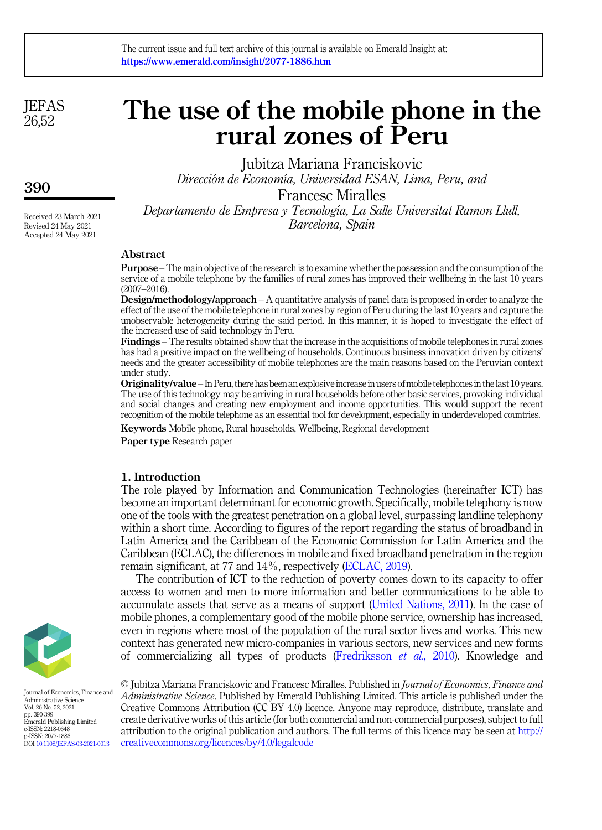**JEFAS** 26,52

390

Received 23 March 2021 Revised 24 May 2021 Accepted 24 May 2021

# The use of the mobile phone in the rural zones of Peru

Jubitza Mariana Franciskovic

Dirección de Economía, Universidad ESAN, Lima, Peru, and

Francesc Miralles

Departamento de Empresa y Tecnología, La Salle Universitat Ramon Llull, Barcelona, Spain

# Abstract

Purpose –The main objective of the research is to examine whether the possession and the consumption of the service of a mobile telephone by the families of rural zones has improved their wellbeing in the last 10 years (2007–2016).

Design/methodology/approach – A quantitative analysis of panel data is proposed in order to analyze the effect of the use of the mobile telephone in rural zones by region of Peru during the last 10 years and capture the unobservable heterogeneity during the said period. In this manner, it is hoped to investigate the effect of the increased use of said technology in Peru.

Findings – The results obtained show that the increase in the acquisitions of mobile telephones in rural zones has had a positive impact on the wellbeing of households. Continuous business innovation driven by citizens' needs and the greater accessibility of mobile telephones are the main reasons based on the Peruvian context under study.

Originality/value – In Peru, there has been an explosiveincreasein users ofmobile telephonesin thelast10 years. The use of this technology may be arriving in rural households before other basic services, provoking individual and social changes and creating new employment and income opportunities. This would support the recent recognition of the mobile telephone as an essential tool for development, especially in underdeveloped countries.

Keywords Mobile phone, Rural households, Wellbeing, Regional development

Paper type Research paper

# 1. Introduction

The role played by Information and Communication Technologies (hereinafter ICT) has become an important determinant for economic growth. Specifically, mobile telephony is now one of the tools with the greatest penetration on a global level, surpassing landline telephony within a short time. According to figures of the report regarding the status of broadband in Latin America and the Caribbean of the Economic Commission for Latin America and the Caribbean (ECLAC), the differences in mobile and fixed broadband penetration in the region remain significant, at 77 and 14%, respectively ([ECLAC, 2019](#page-8-0)).

The contribution of ICT to the reduction of poverty comes down to its capacity to offer access to women and men to more information and better communications to be able to accumulate assets that serve as a means of support ([United Nations, 2011](#page-9-0)). In the case of mobile phones, a complementary good of the mobile phone service, ownership has increased, even in regions where most of the population of the rural sector lives and works. This new context has generated new micro-companies in various sectors, new services and new forms of commercializing all types of products ([Fredriksson](#page-8-1) et al., 2010). Knowledge and



Journal of Economics, Finance and Administrative Science Vol. 26 No. 52, 2021 pp. 390-399 Emerald Publishing Limited e-ISSN: 2218-0648 p-ISSN: 2077-1886 DOI [10.1108/JEFAS-03-2021-0013](https://doi.org/10.1108/JEFAS-03-2021-0013)

© Jubitza Mariana Franciskovic and Francesc Miralles. Published in Journal of Economics, Finance and Administrative Science. Published by Emerald Publishing Limited. This article is published under the Creative Commons Attribution (CC BY 4.0) licence. Anyone may reproduce, distribute, translate and create derivative works of this article (for both commercial and non-commercial purposes), subject to full attribution to the original publication and authors. The full terms of this licence may be seen at [http://](http://creativecommons.org/licences/by/4.0/legalcode) [creativecommons.org/licences/by/4.0/legalcode](http://creativecommons.org/licences/by/4.0/legalcode)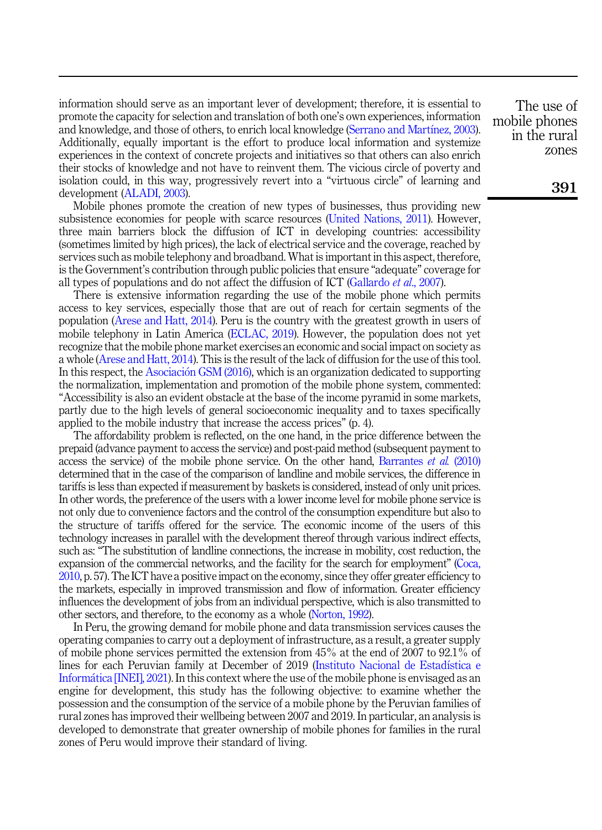information should serve as an important lever of development; therefore, it is essential to promote the capacity for selection and translation of both one's own experiences, information and knowledge, and those of others, to enrich local knowledge [\(Serrano and Mart](#page-9-1)í[nez, 2003\)](#page-9-1). Additionally, equally important is the effort to produce local information and systemize experiences in the context of concrete projects and initiatives so that others can also enrich their stocks of knowledge and not have to reinvent them. The vicious circle of poverty and isolation could, in this way, progressively revert into a "virtuous circle" of learning and development ([ALADI, 2003\)](#page-7-0).

Mobile phones promote the creation of new types of businesses, thus providing new subsistence economies for people with scarce resources [\(United Nations, 2011\)](#page-9-0). However, three main barriers block the diffusion of ICT in developing countries: accessibility (sometimes limited by high prices), the lack of electrical service and the coverage, reached by services such as mobile telephony and broadband. What is important in this aspect, therefore, is the Government's contribution through public policies that ensure "adequate" coverage for all types of populations and do not affect the diffusion of ICT ([Gallardo](#page-8-2) et al., 2007).

There is extensive information regarding the use of the mobile phone which permits access to key services, especially those that are out of reach for certain segments of the population ([Arese and Hatt, 2014](#page-7-1)). Peru is the country with the greatest growth in users of mobile telephony in Latin America ([ECLAC, 2019\)](#page-8-0). However, the population does not yet recognize that the mobile phone market exercises an economic and social impact on society as a whole ([Arese and Hatt, 2014](#page-7-1)). This is the result of the lack of diffusion for the use of this tool. In this respect, the [Asociaci](#page-7-2)ó[n GSM \(2016\)](#page-7-2), which is an organization dedicated to supporting the normalization, implementation and promotion of the mobile phone system, commented: "Accessibility is also an evident obstacle at the base of the income pyramid in some markets, partly due to the high levels of general socioeconomic inequality and to taxes specifically applied to the mobile industry that increase the access prices" (p. 4).

The affordability problem is reflected, on the one hand, in the price difference between the prepaid (advance payment to access the service) and post-paid method (subsequent payment to access the service) of the mobile phone service. On the other hand, [Barrantes](#page-7-3) et al. (2010) determined that in the case of the comparison of landline and mobile services, the difference in tariffs is less than expected if measurement by baskets is considered, instead of only unit prices. In other words, the preference of the users with a lower income level for mobile phone service is not only due to convenience factors and the control of the consumption expenditure but also to the structure of tariffs offered for the service. The economic income of the users of this technology increases in parallel with the development thereof through various indirect effects, such as: "The substitution of landline connections, the increase in mobility, cost reduction, the expansion of the commercial networks, and the facility for the search for employment" [\(Coca,](#page-8-3) [2010](#page-8-3), p. 57). The ICT have a positive impact on the economy, since they offer greater efficiency to the markets, especially in improved transmission and flow of information. Greater efficiency influences the development of jobs from an individual perspective, which is also transmitted to other sectors, and therefore, to the economy as a whole [\(Norton, 1992](#page-8-4)).

In Peru, the growing demand for mobile phone and data transmission services causes the operating companies to carry out a deployment of infrastructure, as a result, a greater supply of mobile phone services permitted the extension from 45% at the end of 2007 to 92.1% of lines for each Peruvian family at December of 2019 ([Instituto Nacional de Estad](#page-8-5)ı[stica e](#page-8-5) [Inform](#page-8-5)a[tica \[INEI\], 2021\)](#page-8-5). In this context where the use of the mobile phone is envisaged as an engine for development, this study has the following objective: to examine whether the possession and the consumption of the service of a mobile phone by the Peruvian families of rural zones has improved their wellbeing between 2007 and 2019. In particular, an analysis is developed to demonstrate that greater ownership of mobile phones for families in the rural zones of Peru would improve their standard of living.

The use of mobile phones in the rural zones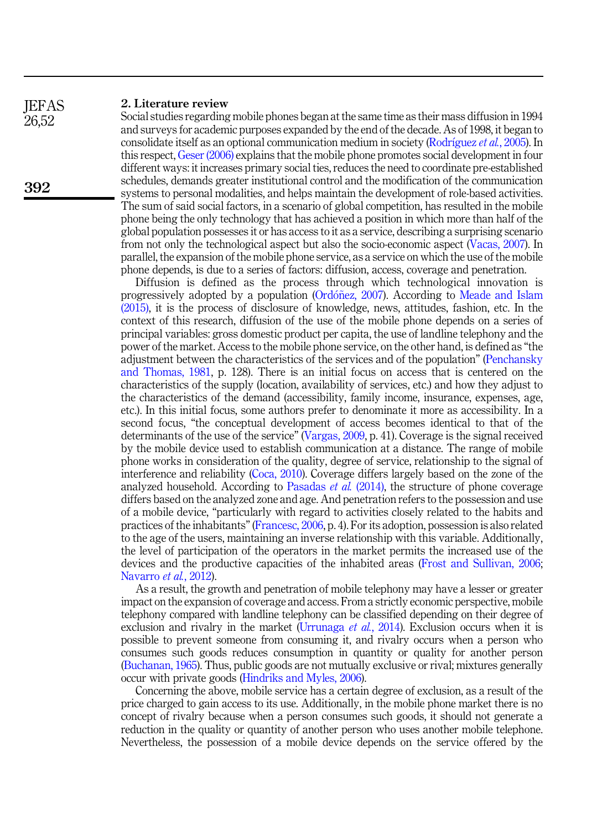#### 2. Literature review **IEFAS**

Social studies regarding mobile phones began at the same time as their mass diffusion in 1994 and surveys for academic purposes expanded by the end of the decade. As of 1998, it began to consolidate itself as an optional communication medium in society ([Rodr](#page-9-2)íguez et al.[, 2005](#page-9-2)). In this respect, [Geser \(2006\)](#page-8-6) explains that the mobile phone promotes social development in four different ways: it increases primary social ties, reduces the need to coordinate pre-established schedules, demands greater institutional control and the modification of the communication systems to personal modalities, and helps maintain the development of role-based activities. The sum of said social factors, in a scenario of global competition, has resulted in the mobile phone being the only technology that has achieved a position in which more than half of the global population possesses it or has access to it as a service, describing a surprising scenario from not only the technological aspect but also the socio-economic aspect ([Vacas, 2007](#page-9-3)). In parallel, the expansion of the mobile phone service, as a service on which the use of the mobile phone depends, is due to a series of factors: diffusion, access, coverage and penetration.

Diffusion is defined as the process through which technological innovation is progressively adopted by a population [\(Ord](#page-8-7)on[ez, 2007](#page-8-7)). According to [Meade and Islam](#page-8-8) [\(2015\),](#page-8-8) it is the process of disclosure of knowledge, news, attitudes, fashion, etc. In the context of this research, diffusion of the use of the mobile phone depends on a series of principal variables: gross domestic product per capita, the use of landline telephony and the power of the market. Access to the mobile phone service, on the other hand, is defined as "the adjustment between the characteristics of the services and of the population" [\(Penchansky](#page-9-4) [and Thomas, 1981,](#page-9-4) p. 128). There is an initial focus on access that is centered on the characteristics of the supply (location, availability of services, etc.) and how they adjust to the characteristics of the demand (accessibility, family income, insurance, expenses, age, etc.). In this initial focus, some authors prefer to denominate it more as accessibility. In a second focus, "the conceptual development of access becomes identical to that of the determinants of the use of the service" [\(Vargas, 2009,](#page-9-5) p. 41). Coverage is the signal received by the mobile device used to establish communication at a distance. The range of mobile phone works in consideration of the quality, degree of service, relationship to the signal of interference and reliability ([Coca, 2010\)](#page-8-3). Coverage differs largely based on the zone of the analyzed household. According to [Pasadas](#page-9-6) *et al.*  $(2014)$ , the structure of phone coverage differs based on the analyzed zone and age. And penetration refers to the possession and use of a mobile device, "particularly with regard to activities closely related to the habits and practices of the inhabitants"[\(Francesc, 2006,](#page-8-9) p. 4). For its adoption, possession is also related to the age of the users, maintaining an inverse relationship with this variable. Additionally, the level of participation of the operators in the market permits the increased use of the devices and the productive capacities of the inhabited areas [\(Frost and Sullivan, 2006](#page-8-10); [Navarro](#page-8-11) et al., 2012).

As a result, the growth and penetration of mobile telephony may have a lesser or greater impact on the expansion of coverage and access. From a strictly economic perspective, mobile telephony compared with landline telephony can be classified depending on their degree of exclusion and rivalry in the market ([Urrunaga](#page-9-7) *et al.*, 2014). Exclusion occurs when it is possible to prevent someone from consuming it, and rivalry occurs when a person who consumes such goods reduces consumption in quantity or quality for another person ([Buchanan, 1965\)](#page-8-12). Thus, public goods are not mutually exclusive or rival; mixtures generally occur with private goods ([Hindriks and Myles, 2006](#page-8-13)).

Concerning the above, mobile service has a certain degree of exclusion, as a result of the price charged to gain access to its use. Additionally, in the mobile phone market there is no concept of rivalry because when a person consumes such goods, it should not generate a reduction in the quality or quantity of another person who uses another mobile telephone. Nevertheless, the possession of a mobile device depends on the service offered by the

26,52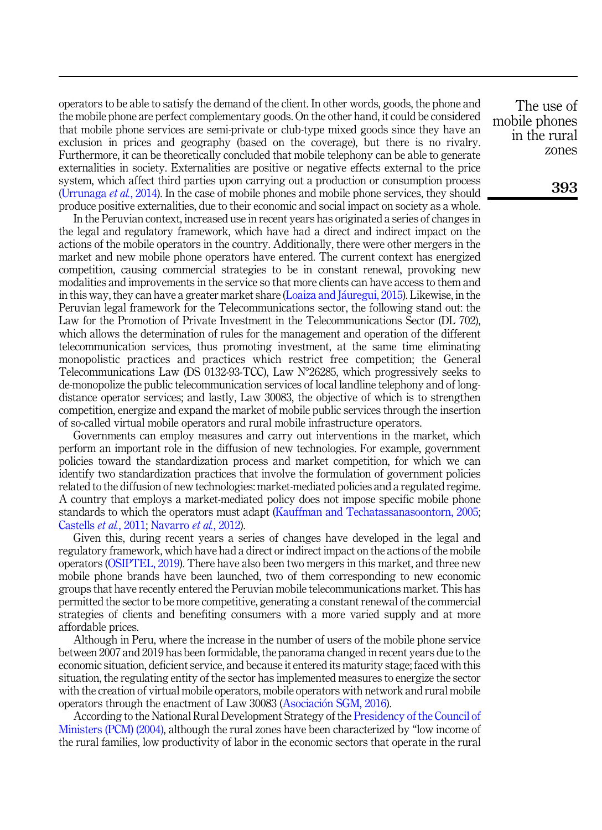operators to be able to satisfy the demand of the client. In other words, goods, the phone and the mobile phone are perfect complementary goods. On the other hand, it could be considered that mobile phone services are semi-private or club-type mixed goods since they have an exclusion in prices and geography (based on the coverage), but there is no rivalry. Furthermore, it can be theoretically concluded that mobile telephony can be able to generate externalities in society. Externalities are positive or negative effects external to the price system, which affect third parties upon carrying out a production or consumption process ([Urrunaga](#page-9-7) et al., 2014). In the case of mobile phones and mobile phone services, they should produce positive externalities, due to their economic and social impact on society as a whole.

In the Peruvian context, increased use in recent years has originated a series of changes in the legal and regulatory framework, which have had a direct and indirect impact on the actions of the mobile operators in the country. Additionally, there were other mergers in the market and new mobile phone operators have entered. The current context has energized competition, causing commercial strategies to be in constant renewal, provoking new modalities and improvements in the service so that more clients can have access to them and in this way, they can have a greater market share [\(Loaiza and J](#page-8-14)áuregui, 2015). Likewise, in the Peruvian legal framework for the Telecommunications sector, the following stand out: the Law for the Promotion of Private Investment in the Telecommunications Sector (DL 702), which allows the determination of rules for the management and operation of the different telecommunication services, thus promoting investment, at the same time eliminating monopolistic practices and practices which restrict free competition; the General Telecommunications Law (DS 0132-93-TCC), Law  $N^{\circ}26285$ , which progressively seeks to de-monopolize the public telecommunication services of local landline telephony and of longdistance operator services; and lastly, Law 30083, the objective of which is to strengthen competition, energize and expand the market of mobile public services through the insertion of so-called virtual mobile operators and rural mobile infrastructure operators.

Governments can employ measures and carry out interventions in the market, which perform an important role in the diffusion of new technologies. For example, government policies toward the standardization process and market competition, for which we can identify two standardization practices that involve the formulation of government policies related to the diffusion of new technologies: market-mediated policies and a regulated regime. A country that employs a market-mediated policy does not impose specific mobile phone standards to which the operators must adapt ([Kauffman and Techatassanasoontorn, 2005](#page-8-15); [Castells](#page-8-16) et al., 2011; [Navarro](#page-8-11) et al., 2012).

Given this, during recent years a series of changes have developed in the legal and regulatory framework, which have had a direct or indirect impact on the actions of the mobile operators ([OSIPTEL, 2019](#page-8-17)). There have also been two mergers in this market, and three new mobile phone brands have been launched, two of them corresponding to new economic groups that have recently entered the Peruvian mobile telecommunications market. This has permitted the sector to be more competitive, generating a constant renewal of the commercial strategies of clients and benefiting consumers with a more varied supply and at more affordable prices.

Although in Peru, where the increase in the number of users of the mobile phone service between 2007 and 2019 has been formidable, the panorama changed in recent years due to the economic situation, deficient service, and because it entered its maturity stage; faced with this situation, the regulating entity of the sector has implemented measures to energize the sector with the creation of virtual mobile operators, mobile operators with network and rural mobile operators through the enactment of Law 30083 ([Asociaci](#page-7-2)[on SGM, 2016\)](#page-7-2).

According to the National Rural Development Strategy of the [Presidency of the Council of](#page-9-8) [Ministers \(PCM\) \(2004\)](#page-9-8), although the rural zones have been characterized by "low income of the rural families, low productivity of labor in the economic sectors that operate in the rural

The use of mobile phones in the rural zones

393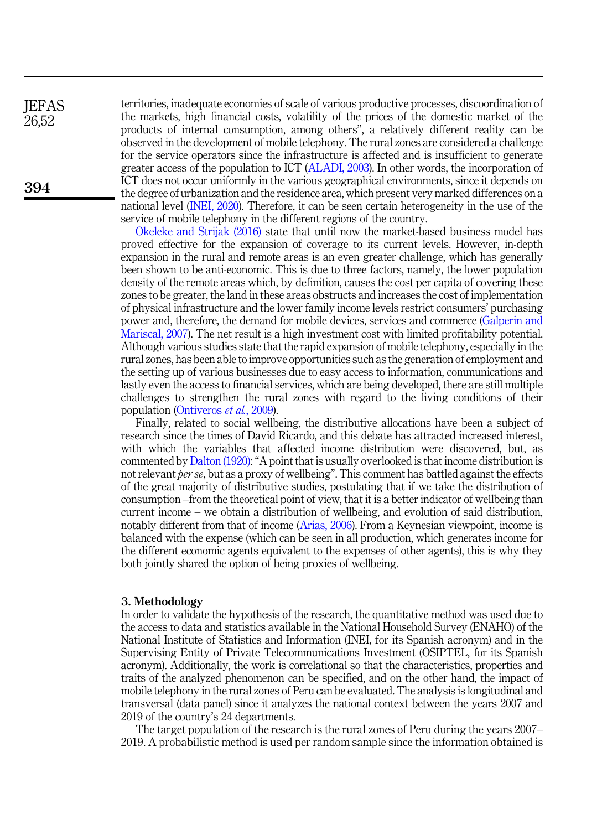territories, inadequate economies of scale of various productive processes, discoordination of the markets, high financial costs, volatility of the prices of the domestic market of the products of internal consumption, among others", a relatively different reality can be observed in the development of mobile telephony. The rural zones are considered a challenge for the service operators since the infrastructure is affected and is insufficient to generate greater access of the population to ICT [\(ALADI, 2003\)](#page-7-0). In other words, the incorporation of ICT does not occur uniformly in the various geographical environments, since it depends on the degree of urbanization and the residence area, which present very marked differences on a national level [\(INEI, 2020\)](#page-8-18). Therefore, it can be seen certain heterogeneity in the use of the service of mobile telephony in the different regions of the country.

[Okeleke and Strijak \(2016\)](#page-8-19) state that until now the market-based business model has proved effective for the expansion of coverage to its current levels. However, in-depth expansion in the rural and remote areas is an even greater challenge, which has generally been shown to be anti-economic. This is due to three factors, namely, the lower population density of the remote areas which, by definition, causes the cost per capita of covering these zones to be greater, the land in these areas obstructs and increases the cost of implementation of physical infrastructure and the lower family income levels restrict consumers' purchasing power and, therefore, the demand for mobile devices, services and commerce ([Galperin and](#page-8-20) [Mariscal, 2007\)](#page-8-20). The net result is a high investment cost with limited profitability potential. Although various studies state that the rapid expansion of mobile telephony, especially in the rural zones, has been able to improve opportunities such as the generation of employment and the setting up of various businesses due to easy access to information, communications and lastly even the access to financial services, which are being developed, there are still multiple challenges to strengthen the rural zones with regard to the living conditions of their population ([Ontiveros](#page-8-21) et al., 2009).

Finally, related to social wellbeing, the distributive allocations have been a subject of research since the times of David Ricardo, and this debate has attracted increased interest, with which the variables that affected income distribution were discovered, but, as commented by[Dalton \(1920\)](#page-8-22):"A point that is usually overlooked is that income distribution is not relevant per se, but as a proxy of wellbeing". This comment has battled against the effects of the great majority of distributive studies, postulating that if we take the distribution of consumption –from the theoretical point of view, that it is a better indicator of wellbeing than current income – we obtain a distribution of wellbeing, and evolution of said distribution, notably different from that of income [\(Arias, 2006\)](#page-7-4). From a Keynesian viewpoint, income is balanced with the expense (which can be seen in all production, which generates income for the different economic agents equivalent to the expenses of other agents), this is why they both jointly shared the option of being proxies of wellbeing.

### 3. Methodology

In order to validate the hypothesis of the research, the quantitative method was used due to the access to data and statistics available in the National Household Survey (ENAHO) of the National Institute of Statistics and Information (INEI, for its Spanish acronym) and in the Supervising Entity of Private Telecommunications Investment (OSIPTEL, for its Spanish acronym). Additionally, the work is correlational so that the characteristics, properties and traits of the analyzed phenomenon can be specified, and on the other hand, the impact of mobile telephony in the rural zones of Peru can be evaluated. The analysis is longitudinal and transversal (data panel) since it analyzes the national context between the years 2007 and 2019 of the country's 24 departments.

The target population of the research is the rural zones of Peru during the years 2007– 2019. A probabilistic method is used per random sample since the information obtained is

**IEFAS** 26,52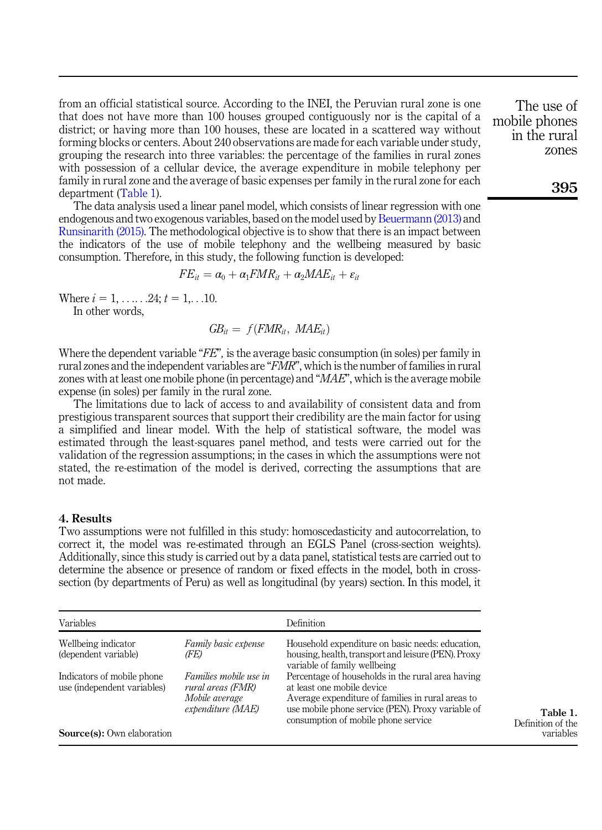from an official statistical source. According to the INEI, the Peruvian rural zone is one that does not have more than 100 houses grouped contiguously nor is the capital of a district; or having more than 100 houses, these are located in a scattered way without forming blocks or centers. About 240 observations are made for each variable under study, grouping the research into three variables: the percentage of the families in rural zones with possession of a cellular device, the average expenditure in mobile telephony per family in rural zone and the average of basic expenses per family in the rural zone for each department (Table 1).

The data analysis used a linear panel model, which consists of linear regression with one endogenous and two exogenous variables, based on the model used by [Beuermann \(2013\)](#page-7-5) and [Runsinarith \(2015\).](#page-9-9) The methodological objective is to show that there is an impact between the indicators of the use of mobile telephony and the wellbeing measured by basic consumption. Therefore, in this study, the following function is developed:

$$
FE_{it} = \alpha_0 + \alpha_1 FMR_{it} + \alpha_2 MAE_{it} + \varepsilon_{it}
$$

Where  $i = 1, \ldots, 24; t = 1, \ldots, 10$ .

In other words,

 $GB_{it} = f(FMR_{it}, \; MAE_{it})$ 

Where the dependent variable "FE", is the average basic consumption (in soles) per family in rural zones and the independent variables are "FMR", which is the number of families in rural zones with at least one mobile phone (in percentage) and "MAE", which is the average mobile expense (in soles) per family in the rural zone.

The limitations due to lack of access to and availability of consistent data and from prestigious transparent sources that support their credibility are the main factor for using a simplified and linear model. With the help of statistical software, the model was estimated through the least-squares panel method, and tests were carried out for the validation of the regression assumptions; in the cases in which the assumptions were not stated, the re-estimation of the model is derived, correcting the assumptions that are not made.

# 4. Results

Two assumptions were not fulfilled in this study: homoscedasticity and autocorrelation, to correct it, the model was re-estimated through an EGLS Panel (cross-section weights). Additionally, since this study is carried out by a data panel, statistical tests are carried out to determine the absence or presence of random or fixed effects in the model, both in crosssection (by departments of Peru) as well as longitudinal (by years) section. In this model, it

| Variables                                                 |                                                                                    | Definition                                                                                                                                                                                                                       |  |  |  |  |
|-----------------------------------------------------------|------------------------------------------------------------------------------------|----------------------------------------------------------------------------------------------------------------------------------------------------------------------------------------------------------------------------------|--|--|--|--|
| Wellbeing indicator<br>(dependent variable)               | Family basic expense<br>(FE)                                                       | Household expenditure on basic needs: education,<br>housing, health, transport and leisure (PEN). Proxy<br>variable of family wellbeing                                                                                          |  |  |  |  |
| Indicators of mobile phone<br>use (independent variables) | Families mobile use in<br>rural areas (FMR)<br>Mobile average<br>expenditure (MAE) | Percentage of households in the rural area having<br>at least one mobile device<br>Average expenditure of families in rural areas to<br>use mobile phone service (PEN). Proxy variable of<br>consumption of mobile phone service |  |  |  |  |
| <b>Source(s):</b> Own elaboration                         |                                                                                    |                                                                                                                                                                                                                                  |  |  |  |  |

The use of mobile phones in the rural zones

395

Table 1. Definition of the variables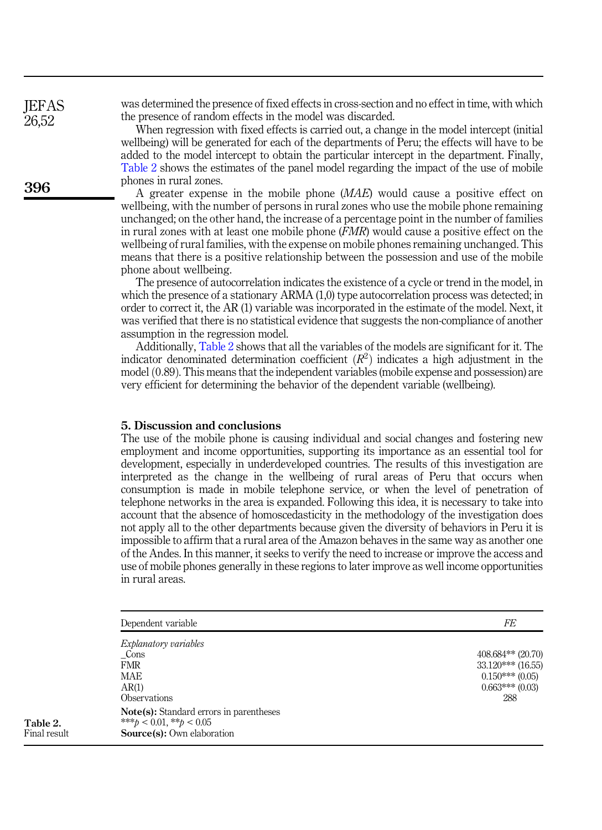was determined the presence of fixed effects in cross-section and no effect in time, with which the presence of random effects in the model was discarded.

When regression with fixed effects is carried out, a change in the model intercept (initial wellbeing) will be generated for each of the departments of Peru; the effects will have to be added to the model intercept to obtain the particular intercept in the department. Finally, Table 2 shows the estimates of the panel model regarding the impact of the use of mobile phones in rural zones.

A greater expense in the mobile phone (MAE) would cause a positive effect on wellbeing, with the number of persons in rural zones who use the mobile phone remaining unchanged; on the other hand, the increase of a percentage point in the number of families in rural zones with at least one mobile phone  $(FMR)$  would cause a positive effect on the wellbeing of rural families, with the expense on mobile phones remaining unchanged. This means that there is a positive relationship between the possession and use of the mobile phone about wellbeing.

The presence of autocorrelation indicates the existence of a cycle or trend in the model, in which the presence of a stationary ARMA (1,0) type autocorrelation process was detected; in order to correct it, the AR (1) variable was incorporated in the estimate of the model. Next, it was verified that there is no statistical evidence that suggests the non-compliance of another assumption in the regression model.

Additionally, Table 2 shows that all the variables of the models are significant for it. The indicator denominated determination coefficient  $(R^2)$  indicates a high adjustment in the model $(0.89)$ . This means that the independent variables (mobile expense and possession) are very efficient for determining the behavior of the dependent variable (wellbeing).

# 5. Discussion and conclusions

The use of the mobile phone is causing individual and social changes and fostering new employment and income opportunities, supporting its importance as an essential tool for development, especially in underdeveloped countries. The results of this investigation are interpreted as the change in the wellbeing of rural areas of Peru that occurs when consumption is made in mobile telephone service, or when the level of penetration of telephone networks in the area is expanded. Following this idea, it is necessary to take into account that the absence of homoscedasticity in the methodology of the investigation does not apply all to the other departments because given the diversity of behaviors in Peru it is impossible to affirm that a rural area of the Amazon behaves in the same way as another one of the Andes. In this manner, it seeks to verify the need to increase or improve the access and use of mobile phones generally in these regions to later improve as well income opportunities in rural areas.

| Dependent variable                                                                                             | FE                  |
|----------------------------------------------------------------------------------------------------------------|---------------------|
| <i>Explanatory variables</i>                                                                                   |                     |
| Cons                                                                                                           | $408.684**$ (20.70) |
| <b>FMR</b>                                                                                                     | $33.120***$ (16.55) |
| <b>MAE</b>                                                                                                     | $0.150***(0.05)$    |
| AR(1)                                                                                                          | $0.663***(0.03)$    |
| Observations                                                                                                   | 288                 |
| <b>Note(s):</b> Standard errors in parentheses<br>*** $b < 0.01$ , ** $b < 0.05$<br>Source(s): Own elaboration |                     |

396

**JEFAS** 26,52

Table 2. Final result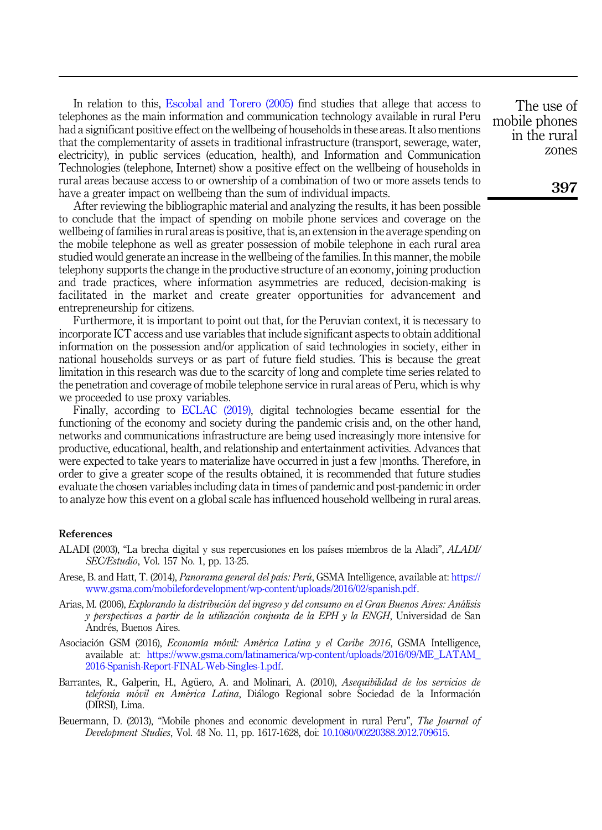In relation to this, [Escobal and Torero \(2005\)](#page-8-23) find studies that allege that access to telephones as the main information and communication technology available in rural Peru had a significant positive effect on the wellbeing of households in these areas. It also mentions that the complementarity of assets in traditional infrastructure (transport, sewerage, water, electricity), in public services (education, health), and Information and Communication Technologies (telephone, Internet) show a positive effect on the wellbeing of households in rural areas because access to or ownership of a combination of two or more assets tends to have a greater impact on wellbeing than the sum of individual impacts.

After reviewing the bibliographic material and analyzing the results, it has been possible to conclude that the impact of spending on mobile phone services and coverage on the wellbeing of families in rural areas is positive, that is, an extension in the average spending on the mobile telephone as well as greater possession of mobile telephone in each rural area studied would generate an increase in the wellbeing of the families. In this manner, the mobile telephony supports the change in the productive structure of an economy, joining production and trade practices, where information asymmetries are reduced, decision-making is facilitated in the market and create greater opportunities for advancement and entrepreneurship for citizens.

Furthermore, it is important to point out that, for the Peruvian context, it is necessary to incorporate ICT access and use variables that include significant aspects to obtain additional information on the possession and/or application of said technologies in society, either in national households surveys or as part of future field studies. This is because the great limitation in this research was due to the scarcity of long and complete time series related to the penetration and coverage of mobile telephone service in rural areas of Peru, which is why we proceeded to use proxy variables.

Finally, according to [ECLAC \(2019\),](#page-8-0) digital technologies became essential for the functioning of the economy and society during the pandemic crisis and, on the other hand, networks and communications infrastructure are being used increasingly more intensive for productive, educational, health, and relationship and entertainment activities. Advances that were expected to take years to materialize have occurred in just a few jmonths. Therefore, in order to give a greater scope of the results obtained, it is recommended that future studies evaluate the chosen variables including data in times of pandemic and post-pandemic in order to analyze how this event on a global scale has influenced household wellbeing in rural areas.

## References

- <span id="page-7-0"></span>ALADI (2003), "La brecha digital y sus repercusiones en los paıses miembros de la Aladi", ALADI/ SEC/Estudio, Vol. 157 No. 1, pp. 13-25.
- <span id="page-7-1"></span>Arese, B. and Hatt, T. (2014), *Panorama general del país: Perú*, GSMA Intelligence, available at: [https://](https://www.gsma.com/mobilefordevelopment/wp-content/uploads/2016/02/spanish.pdf) [www.gsma.com/mobilefordevelopment/wp-content/uploads/2016/02/spanish.pdf.](https://www.gsma.com/mobilefordevelopment/wp-content/uploads/2016/02/spanish.pdf)
- <span id="page-7-4"></span>Arias, M. (2006), Explorando la distribucion del ingreso y del consumo en el Gran Buenos Aires: Analisis y perspectivas a partir de la utilizacion conjunta de la EPH y la ENGH, Universidad de San Andrés, Buenos Aires.
- <span id="page-7-2"></span>Asociación GSM (2016), Economía móvil: América Latina y el Caribe 2016, GSMA Intelligence, available at: [https://www.gsma.com/latinamerica/wp-content/uploads/2016/09/ME\\_LATAM\\_](https://www.gsma.com/latinamerica/wp-content/uploads/2016/09/ME_LATAM_2016-Spanish-Report-FINAL-Web-Singles-1.pdf) [2016-Spanish-Report-FINAL-Web-Singles-1.pdf](https://www.gsma.com/latinamerica/wp-content/uploads/2016/09/ME_LATAM_2016-Spanish-Report-FINAL-Web-Singles-1.pdf).
- <span id="page-7-3"></span>Barrantes, R., Galperin, H., Agüero, A. and Molinari, A. (2010), Asequibilidad de los servicios de telefonía móvil en América Latina, Diálogo Regional sobre Sociedad de la Información (DIRSI), Lima.
- <span id="page-7-5"></span>Beuermann, D. (2013), "Mobile phones and economic development in rural Peru", The Journal of Development Studies, Vol. 48 No. 11, pp. 1617-1628, doi: [10.1080/00220388.2012.709615.](https://doi.org/10.1080/00220388.2012.709615)

The use of mobile phones in the rural zones

397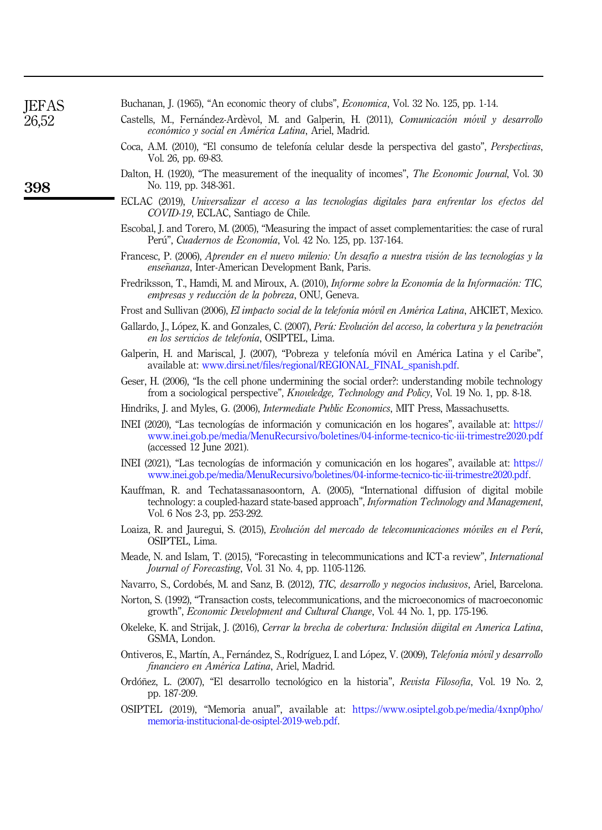|  |  |  | Buchanan, J. (1965), "An economic theory of clubs", <i>Economica</i> , Vol. 32 No. 125, pp. 1-14. |
|--|--|--|---------------------------------------------------------------------------------------------------|
|--|--|--|---------------------------------------------------------------------------------------------------|

- <span id="page-8-16"></span><span id="page-8-12"></span>Castells, M., Fernández-Ardèvol, M. and Galperin, H. (2011), Comunicación móvil y desarrollo económico y social en América Latina, Ariel, Madrid.
- <span id="page-8-3"></span>Coca, A.M. (2010), "El consumo de telefonía celular desde la perspectiva del gasto", Perspectivas, Vol. 26, pp. 69-83.
- <span id="page-8-22"></span>Dalton, H. (1920), "The measurement of the inequality of incomes", The Economic Journal, Vol. 30 No. 119, pp. 348-361.
- <span id="page-8-0"></span>ECLAC (2019), Universalizar el acceso a las tecnologıas digitales para enfrentar los efectos del COVID-19, ECLAC, Santiago de Chile.
- <span id="page-8-23"></span>Escobal, J. and Torero, M. (2005), "Measuring the impact of asset complementarities: the case of rural Perú", Cuadernos de Economía, Vol. 42 No. 125, pp. 137-164.
- <span id="page-8-9"></span>Francesc, P. (2006), Aprender en el nuevo milenio: Un desafío a nuestra visión de las tecnologías y la enseñanza, Inter-American Development Bank, Paris.
- <span id="page-8-1"></span>Fredriksson, T., Hamdi, M. and Miroux, A. (2010), *Informe sobre la Economía de la Información: TIC*, embresas y reducción de la pobreza, ONU, Geneva,
- <span id="page-8-10"></span>Frost and Sullivan (2006), El impacto social de la telefonía móvil en América Latina, AHCIET, Mexico.
- <span id="page-8-2"></span>Gallardo, J., López, K. and Gonzales, C. (2007), Perú: Evolución del acceso, la cobertura y la penetración en los servicios de telefonía, OSIPTEL, Lima.
- <span id="page-8-20"></span>Galperin, H. and Mariscal, J. (2007), "Pobreza y telefonía móvil en América Latina y el Caribe", available at: [www.dirsi.net/files/regional/REGIONAL\\_FINAL\\_spanish.pdf.](http://www.dirsi.net/files/regional/REGIONAL_FINAL_spanish.pdf)
- <span id="page-8-6"></span>Geser, H. (2006), "Is the cell phone undermining the social order?: understanding mobile technology from a sociological perspective", Knowledge, Technology and Policy, Vol. 19 No. 1, pp. 8-18.
- <span id="page-8-13"></span>Hindriks, J. and Myles, G. (2006), *Intermediate Public Economics*, MIT Press, Massachusetts.
- <span id="page-8-18"></span>INEI (2020), "Las tecnologıas de informacion y comunicacion en los hogares", available at: [https://](https://www.inei.gob.pe/media/MenuRecursivo/boletines/04-informe-tecnico-tic-iii-trimestre2020.pdf) [www.inei.gob.pe/media/MenuRecursivo/boletines/04-informe-tecnico-tic-iii-trimestre2020.pdf](https://www.inei.gob.pe/media/MenuRecursivo/boletines/04-informe-tecnico-tic-iii-trimestre2020.pdf) (accessed 12 June 2021).
- <span id="page-8-5"></span>INEI (2021), "Las tecnologıas de informacion y comunicacion en los hogares", available at: [https://](https://www.inei.gob.pe/media/MenuRecursivo/boletines/04-informe-tecnico-tic-iii-trimestre2020.pdf) [www.inei.gob.pe/media/MenuRecursivo/boletines/04-informe-tecnico-tic-iii-trimestre2020.pdf](https://www.inei.gob.pe/media/MenuRecursivo/boletines/04-informe-tecnico-tic-iii-trimestre2020.pdf).
- <span id="page-8-15"></span>Kauffman, R. and Techatassanasoontorn, A. (2005), "International diffusion of digital mobile technology: a coupled-hazard state-based approach", Information Technology and Management, Vol. 6 Nos 2-3, pp. 253-292.
- <span id="page-8-14"></span>Loaiza, R. and Jauregui, S. (2015), Evolución del mercado de telecomunicaciones móviles en el Perú, OSIPTEL, Lima.
- <span id="page-8-8"></span>Meade, N. and Islam, T. (2015), "Forecasting in telecommunications and ICT-a review", International Journal of Forecasting, Vol. 31 No. 4, pp. 1105-1126.
- <span id="page-8-11"></span>Navarro, S., Cordobés, M. and Sanz, B. (2012), TIC, desarrollo y negocios inclusivos, Ariel, Barcelona.
- <span id="page-8-4"></span>Norton, S. (1992), "Transaction costs, telecommunications, and the microeconomics of macroeconomic growth", Economic Development and Cultural Change, Vol. 44 No. 1, pp. 175-196.
- <span id="page-8-19"></span>Okeleke, K. and Strijak, J. (2016), Cerrar la brecha de cobertura: Inclusion diigital en America Latina, GSMA, London.
- <span id="page-8-21"></span>Ontiveros, E., Martín, A., Fernández, S., Rodríguez, I. and López, V. (2009), Telefonía móvil y desarrollo financiero en América Latina, Ariel, Madrid.
- <span id="page-8-7"></span>Ordóñez, L. (2007), "El desarrollo tecnológico en la historia", Revista Filosofía, Vol. 19 No. 2, pp. 187-209.
- <span id="page-8-17"></span>OSIPTEL (2019), "Memoria anual", available at: [https://www.osiptel.gob.pe/media/4xnp0pho/](https://www.osiptel.gob.pe/media/4xnp0pho/memoria-institucional-de-osiptel-2019-web.pdf) [memoria-institucional-de-osiptel-2019-web.pdf.](https://www.osiptel.gob.pe/media/4xnp0pho/memoria-institucional-de-osiptel-2019-web.pdf)

**IEFAS** 26,52